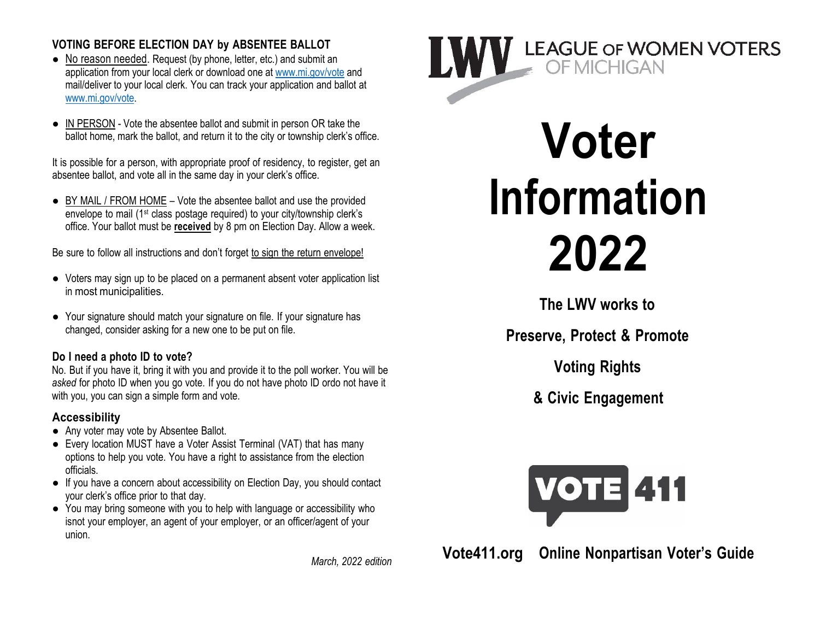### **VOTING BEFORE ELECTION DAY by ABSENTEE BALLOT**

- No reason needed. Request (by phone, letter, etc.) and submit an application from your local clerk or download one at www.mi.gov/vote and mail/deliver to your local clerk. You can track your application and ballot at www.mi.gov/vote.
- IN PERSON Vote the absentee ballot and submit in person OR take the ballot home, mark the ballot, and return it to the city or township clerk's office.

It is possible for a person, with appropriate proof of residency, to register, get an absentee ballot, and vote all in the same day in your clerk's office.

● BY MAIL / FROM HOME – Vote the absentee ballot and use the provided envelope to mail (1st class postage required) to your city/township clerk's office. Your ballot must be **received** by 8 pm on Election Day. Allow a week.

Be sure to follow all instructions and don't forget to sign the return envelope!

- Voters may sign up to be placed on a permanent absent voter application list in most municipalities.
- Your signature should match your signature on file. If your signature has changed, consider asking for a new one to be put on file.

# **Do I need a photo ID to vote?**

No. But if you have it, bring it with you and provide it to the poll worker. You will be *asked* for photo ID when you go vote. If you do not have photo ID ordo not have it with you, you can sign a simple form and vote.

# **Accessibility**

- Any voter may vote by Absentee Ballot.
- Every location MUST have a Voter Assist Terminal (VAT) that has many options to help you vote. You have a right to assistance from the election officials.
- If you have a concern about accessibility on Election Day, you should contact your clerk's office prior to that day.
- You may bring someone with you to help with language or accessibility who isnot your employer, an agent of your employer, or an officer/agent of your union.

*March, 2022 edition*



# **Voter Information 2022**

**The LWV works to**

**Preserve, Protect & Promote**

**Voting Rights**

**& Civic Engagement**



**Vote411.org Online Nonpartisan Voter's Guide**